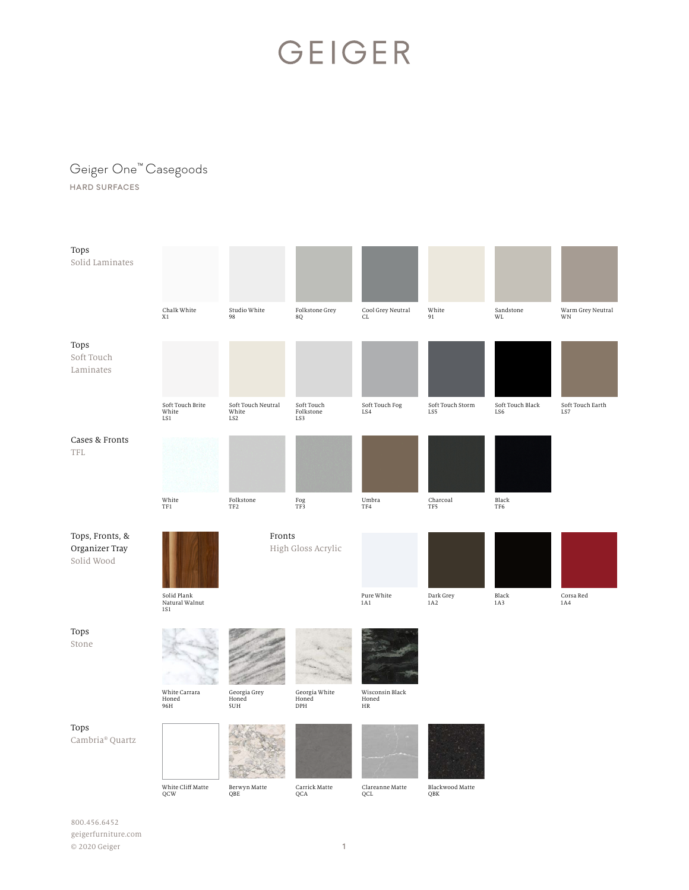#### Geiger One™ Casegoods

HARD SURFACES

| Tops<br>Solid Laminates                         |                                                            |                                    |                                  |                                         |                         |                         |                         |
|-------------------------------------------------|------------------------------------------------------------|------------------------------------|----------------------------------|-----------------------------------------|-------------------------|-------------------------|-------------------------|
|                                                 | Chalk White<br>X1                                          | Studio White<br>98                 | Folkstone Grey<br>8Q             | Cool Grey Neutral<br>CL                 | White<br>91             | Sandstone<br>WL         | Warm Grey Neutral<br>WN |
| Tops<br>Soft Touch<br>Laminates                 |                                                            |                                    |                                  |                                         |                         |                         |                         |
|                                                 | Soft Touch Brite<br>White<br>LS1                           | Soft Touch Neutral<br>White<br>LS2 | Soft Touch<br>Folkstone<br>LS3   | Soft Touch Fog<br>LS4                   | Soft Touch Storm<br>LS5 | Soft Touch Black<br>LS6 | Soft Touch Earth<br>LS7 |
| Cases & Fronts<br>TFL                           |                                                            |                                    |                                  |                                         |                         |                         |                         |
|                                                 | White<br>$\ensuremath{\mathsf{T}}\ensuremath{\mathsf{F}}1$ | Folkstone<br>TF <sub>2</sub>       | $_{\mathrm{TF3}}^{\mathrm{Fog}}$ | Umbra<br>TF4                            | Charcoal<br>TF5         | Black<br>TF6            |                         |
| Tops, Fronts, &<br>Organizer Tray<br>Solid Wood |                                                            | Fronts<br>High Gloss Acrylic       |                                  |                                         |                         |                         |                         |
|                                                 | Solid Plank<br>Natural Walnut<br><b>1S1</b>                |                                    |                                  | Pure White<br>1A1                       | Dark Grey<br>1A2        | Black<br>1A3            | Corsa Red<br>1A4        |
| Tops<br>Stone                                   |                                                            |                                    |                                  |                                         |                         |                         |                         |
|                                                 | White Carrara<br>Honed<br>96H                              | Georgia Grey<br>Honed<br>5UH       | Georgia White<br>Honed<br>DPH    | Wisconsin Black<br>Honed<br>$_{\rm HR}$ |                         |                         |                         |
| Tops<br>Cambria® Quartz                         |                                                            |                                    |                                  |                                         |                         |                         |                         |
|                                                 | White Cliff Matte<br>QCW                                   | Berwyn Matte<br>QBE                | Carrick Matte<br>QCA             | Clareanne Matte<br>QCL                  | Blackwood Matte<br>QBK  |                         |                         |

800.456.6452 geigerfurniture.com © 2020 Geiger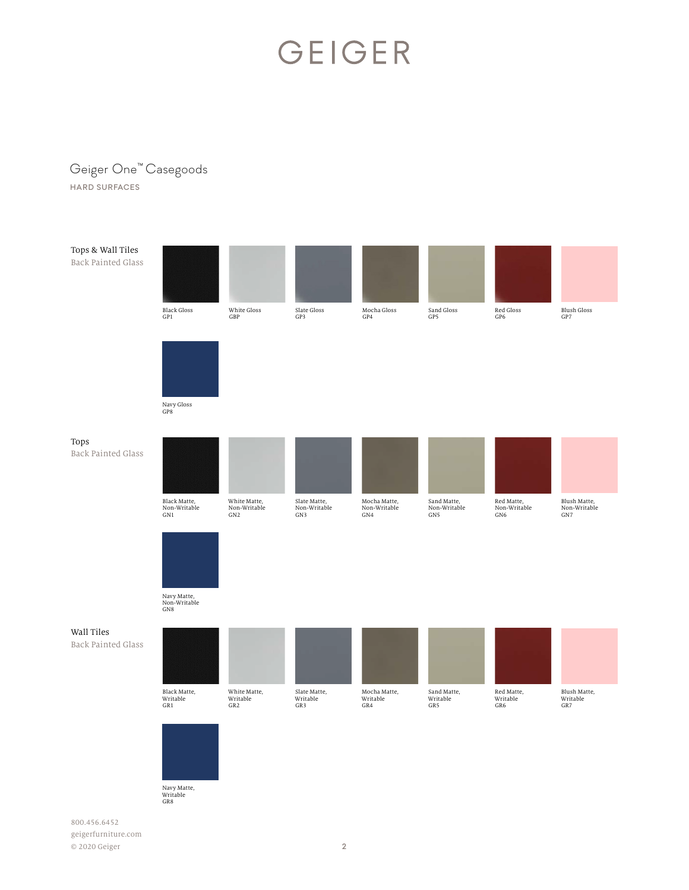#### Geiger One™ Casegoods

HARD SURFACES



Navy Matte,<br>Writable<br>GR8

800.456.6452 geigerfurniture.com © 2020 Geiger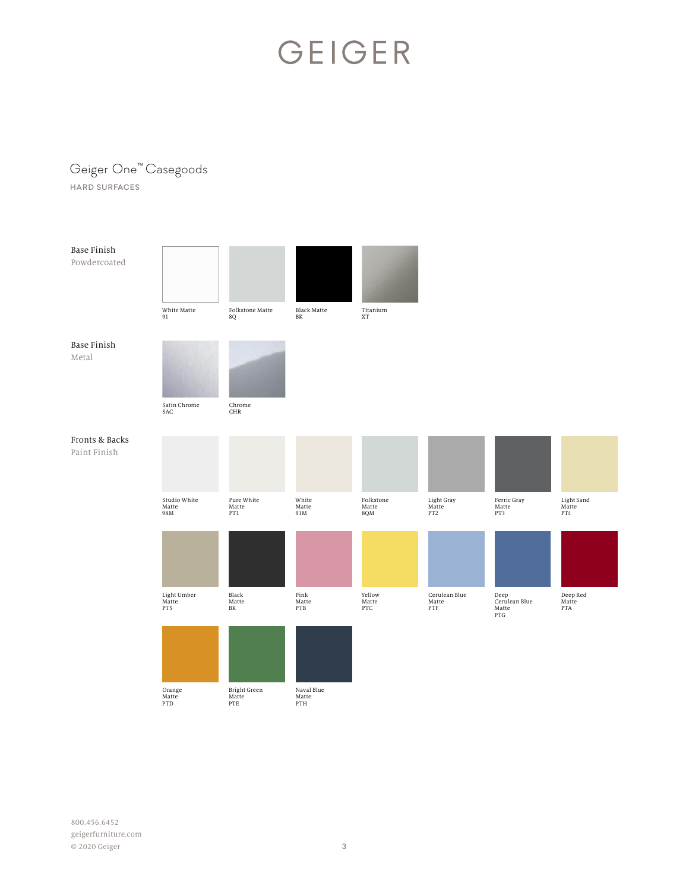#### Geiger One™ Casegoods

HARD SURFACES